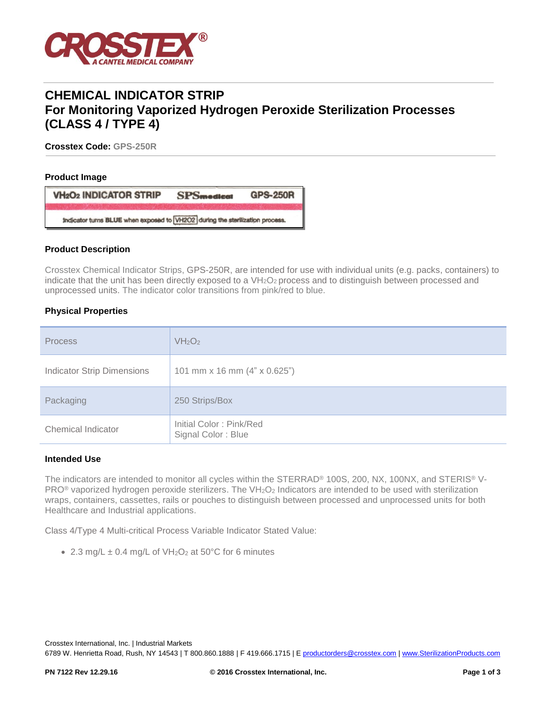

# **CHEMICAL INDICATOR STRIP For Monitoring Vaporized Hydrogen Peroxide Sterilization Processes (CLASS 4 / TYPE 4)**

**Crosstex Code: GPS-250R**

#### **Product Image**

| <b>VH<sub>2</sub>O<sub>2</sub> INDICATOR STRIP</b>                           | <b>SPSmedical</b> | <b>GPS-250R</b> |  |  |
|------------------------------------------------------------------------------|-------------------|-----------------|--|--|
| Indicator turns BLUE when exposed to VH2O2 during the sterilization process. |                   |                 |  |  |

#### **Product Description**

Crosstex Chemical Indicator Strips, GPS-250R, are intended for use with individual units (e.g. packs, containers) to indicate that the unit has been directly exposed to a VH<sub>2</sub>O<sub>2</sub> process and to distinguish between processed and unprocessed units. The indicator color transitions from pink/red to blue.

## **Physical Properties**

| <b>Process</b>                    | VH <sub>2</sub> O <sub>2</sub>                |
|-----------------------------------|-----------------------------------------------|
| <b>Indicator Strip Dimensions</b> | 101 mm x 16 mm (4" x 0.625")                  |
| Packaging                         | 250 Strips/Box                                |
| Chemical Indicator                | Initial Color: Pink/Red<br>Signal Color: Blue |

## **Intended Use**

The indicators are intended to monitor all cycles within the STERRAD<sup>®</sup> 100S, 200, NX, 100NX, and STERIS<sup>®</sup> V-PRO<sup>®</sup> vaporized hydrogen peroxide sterilizers. The VH<sub>2</sub>O<sub>2</sub> Indicators are intended to be used with sterilization wraps, containers, cassettes, rails or pouches to distinguish between processed and unprocessed units for both Healthcare and Industrial applications.

Class 4/Type 4 Multi-critical Process Variable Indicator Stated Value:

• 2.3 mg/L  $\pm$  0.4 mg/L of VH<sub>2</sub>O<sub>2</sub> at 50°C for 6 minutes

Crosstex International, Inc. | Industrial Markets

6789 W. Henrietta Road, Rush, NY 14543 | T 800.860.1888 | F 419.666.1715 | E [productorders@crosstex.com](mailto:productorders@crosstex.com) | [www.SterilizationProducts.com](../../../../Documents%20and%20Settings/ajs0776/Local%20Settings/Temporary%20Internet%20Files/Content.Outlook/64XMA2U2/www.SterilizationProducts.com)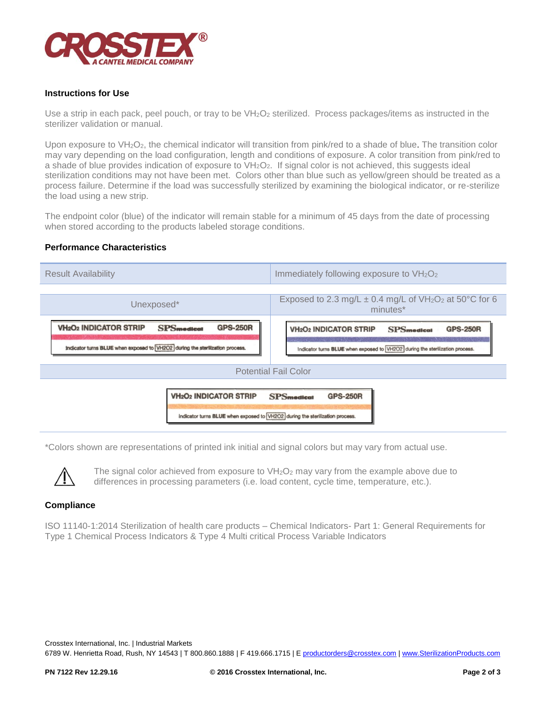

## **Instructions for Use**

Use a strip in each pack, peel pouch, or tray to be VH<sub>2</sub>O<sub>2</sub> sterilized. Process packages/items as instructed in the sterilizer validation or manual.

Upon exposure to VH<sub>2</sub>O<sub>2</sub>, the chemical indicator will transition from pink/red to a shade of blue. The transition color may vary depending on the load configuration, length and conditions of exposure. A color transition from pink/red to a shade of blue provides indication of exposure to VH<sub>2</sub>O<sub>2</sub>. If signal color is not achieved, this suggests ideal sterilization conditions may not have been met. Colors other than blue such as yellow/green should be treated as a process failure. Determine if the load was successfully sterilized by examining the biological indicator, or re-sterilize the load using a new strip.

The endpoint color (blue) of the indicator will remain stable for a minimum of 45 days from the date of processing when stored according to the products labeled storage conditions.

#### **Performance Characteristics**



\*Colors shown are representations of printed ink initial and signal colors but may vary from actual use.



The signal color achieved from exposure to  $VH<sub>2</sub>O<sub>2</sub>$  may vary from the example above due to differences in processing parameters (i.e. load content, cycle time, temperature, etc.).

## **Compliance**

ISO 11140-1:2014 Sterilization of health care products – Chemical Indicators- Part 1: General Requirements for Type 1 Chemical Process Indicators & Type 4 Multi critical Process Variable Indicators

Crosstex International, Inc. | Industrial Markets 6789 W. Henrietta Road, Rush, NY 14543 | T 800.860.1888 | F 419.666.1715 | E [productorders@crosstex.com](mailto:productorders@crosstex.com) | [www.SterilizationProducts.com](../../../../Documents%20and%20Settings/ajs0776/Local%20Settings/Temporary%20Internet%20Files/Content.Outlook/64XMA2U2/www.SterilizationProducts.com)